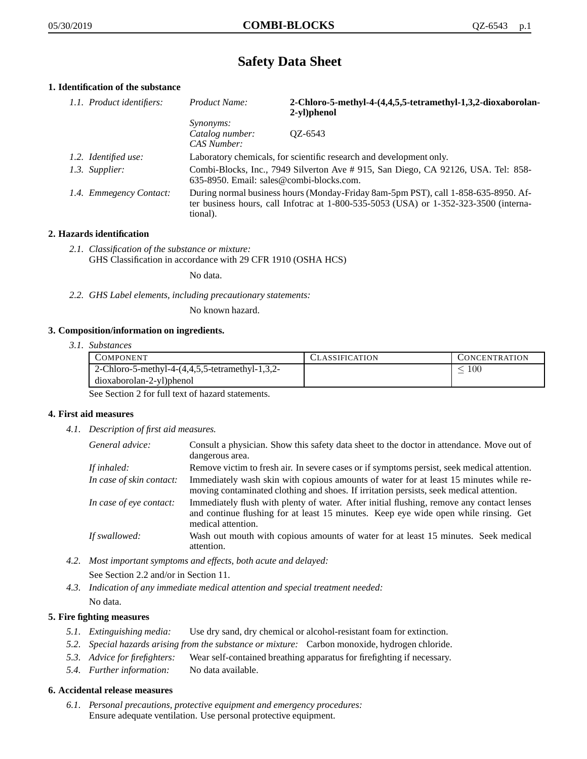# **Safety Data Sheet**

# **1. Identification of the substance**

| 1.1. Product identifiers: | Product Name:                                                                                                                                                                           | 2-Chloro-5-methyl-4-(4,4,5,5-tetramethyl-1,3,2-dioxaborolan-<br>2-yl)phenol |
|---------------------------|-----------------------------------------------------------------------------------------------------------------------------------------------------------------------------------------|-----------------------------------------------------------------------------|
|                           | <i>Synonyms:</i>                                                                                                                                                                        |                                                                             |
|                           | Catalog number:<br>CAS Number:                                                                                                                                                          | $OZ - 6543$                                                                 |
| 1.2. Identified use:      | Laboratory chemicals, for scientific research and development only.                                                                                                                     |                                                                             |
| 1.3. Supplier:            | Combi-Blocks, Inc., 7949 Silverton Ave #915, San Diego, CA 92126, USA. Tel: 858-<br>635-8950. Email: sales@combi-blocks.com.                                                            |                                                                             |
| 1.4. Emmegency Contact:   | During normal business hours (Monday-Friday 8am-5pm PST), call 1-858-635-8950. Af-<br>ter business hours, call Infotrac at 1-800-535-5053 (USA) or 1-352-323-3500 (interna-<br>tional). |                                                                             |

## **2. Hazards identification**

*2.1. Classification of the substance or mixture:* GHS Classification in accordance with 29 CFR 1910 (OSHA HCS)

No data.

*2.2. GHS Label elements, including precautionary statements:*

No known hazard.

## **3. Composition/information on ingredients.**

*3.1. Substances*

| COMPONENT                                       | CLASSIFICATION | CONCENTRATION |
|-------------------------------------------------|----------------|---------------|
| 2-Chloro-5-methyl-4-(4,4,5,5-tetramethyl-1,3,2- |                | $100\,$       |
| dioxaborolan-2-yl)phenol                        |                |               |

See Section 2 for full text of hazard statements.

## **4. First aid measures**

*4.1. Description of first aid measures.*

| General advice:          | Consult a physician. Show this safety data sheet to the doctor in attendance. Move out of<br>dangerous area.                                                                                            |
|--------------------------|---------------------------------------------------------------------------------------------------------------------------------------------------------------------------------------------------------|
| If inhaled:              | Remove victim to fresh air. In severe cases or if symptoms persist, seek medical attention.                                                                                                             |
| In case of skin contact: | Immediately wash skin with copious amounts of water for at least 15 minutes while re-<br>moving contaminated clothing and shoes. If irritation persists, seek medical attention.                        |
| In case of eye contact:  | Immediately flush with plenty of water. After initial flushing, remove any contact lenses<br>and continue flushing for at least 15 minutes. Keep eye wide open while rinsing. Get<br>medical attention. |
| If swallowed:            | Wash out mouth with copious amounts of water for at least 15 minutes. Seek medical<br>attention.                                                                                                        |

- *4.2. Most important symptoms and effects, both acute and delayed:* See Section 2.2 and/or in Section 11.
- *4.3. Indication of any immediate medical attention and special treatment needed:* No data.

## **5. Fire fighting measures**

- *5.1. Extinguishing media:* Use dry sand, dry chemical or alcohol-resistant foam for extinction.
- *5.2. Special hazards arising from the substance or mixture:* Carbon monoxide, hydrogen chloride.
- *5.3. Advice for firefighters:* Wear self-contained breathing apparatus for firefighting if necessary.
- *5.4. Further information:* No data available.

## **6. Accidental release measures**

*6.1. Personal precautions, protective equipment and emergency procedures:* Ensure adequate ventilation. Use personal protective equipment.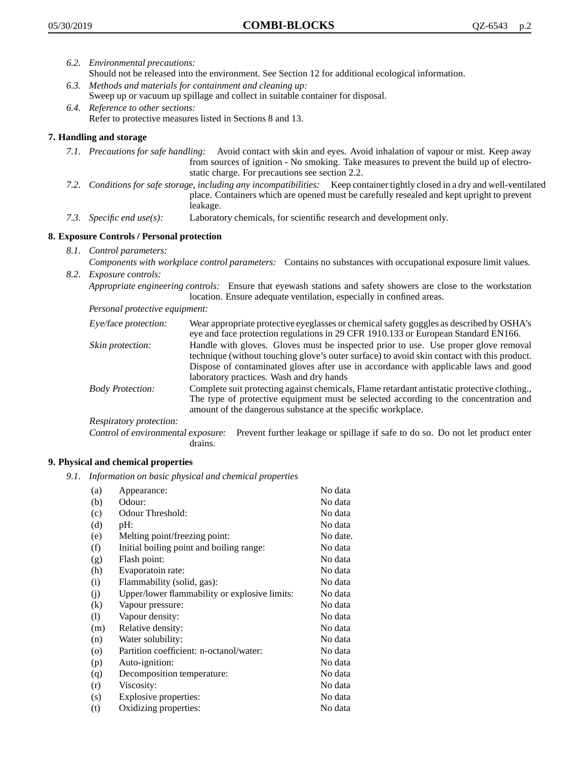- *6.2. Environmental precautions:* Should not be released into the environment. See Section 12 for additional ecological information.
- *6.3. Methods and materials for containment and cleaning up:* Sweep up or vacuum up spillage and collect in suitable container for disposal.
- *6.4. Reference to other sections:* Refer to protective measures listed in Sections 8 and 13.

## **7. Handling and storage**

- *7.1. Precautions for safe handling:* Avoid contact with skin and eyes. Avoid inhalation of vapour or mist. Keep away from sources of ignition - No smoking. Take measures to prevent the build up of electrostatic charge. For precautions see section 2.2.
- *7.2. Conditions for safe storage, including any incompatibilities:* Keep container tightly closed in a dry and well-ventilated place. Containers which are opened must be carefully resealed and kept upright to prevent leakage.
- *7.3. Specific end use(s):* Laboratory chemicals, for scientific research and development only.

## **8. Exposure Controls / Personal protection**

- *8.1. Control parameters:*
- *Components with workplace control parameters:* Contains no substances with occupational exposure limit values. *8.2. Exposure controls:*

*Appropriate engineering controls:* Ensure that eyewash stations and safety showers are close to the workstation location. Ensure adequate ventilation, especially in confined areas.

*Personal protective equipment:*

| Eye/face protection:    | Wear appropriate protective eyeglasses or chemical safety goggles as described by OSHA's<br>eye and face protection regulations in 29 CFR 1910.133 or European Standard EN166.                                                                                                                                         |
|-------------------------|------------------------------------------------------------------------------------------------------------------------------------------------------------------------------------------------------------------------------------------------------------------------------------------------------------------------|
| Skin protection:        | Handle with gloves. Gloves must be inspected prior to use. Use proper glove removal<br>technique (without touching glove's outer surface) to avoid skin contact with this product.<br>Dispose of contaminated gloves after use in accordance with applicable laws and good<br>laboratory practices. Wash and dry hands |
| <b>Body Protection:</b> | Complete suit protecting against chemicals, Flame retardant antistatic protective clothing.,<br>The type of protective equipment must be selected according to the concentration and<br>amount of the dangerous substance at the specific workplace.                                                                   |
| Respiratory protection: |                                                                                                                                                                                                                                                                                                                        |

Control of environmental exposure: Prevent further leakage or spillage if safe to do so. Do not let product enter drains.

## **9. Physical and chemical properties**

*9.1. Information on basic physical and chemical properties*

| (a)               | Appearance:                                   | No data  |
|-------------------|-----------------------------------------------|----------|
| (b)               | Odour:                                        | No data  |
| (c)               | Odour Threshold:                              | No data  |
| (d)               | pH:                                           | No data  |
| (e)               | Melting point/freezing point:                 | No date. |
| (f)               | Initial boiling point and boiling range:      | No data  |
| (g)               | Flash point:                                  | No data  |
| (h)               | Evaporatoin rate:                             | No data  |
| (i)               | Flammability (solid, gas):                    | No data  |
| (j)               | Upper/lower flammability or explosive limits: | No data  |
| $\left( k\right)$ | Vapour pressure:                              | No data  |
| (1)               | Vapour density:                               | No data  |
| (m)               | Relative density:                             | No data  |
| (n)               | Water solubility:                             | No data  |
| $\circ$           | Partition coefficient: n-octanol/water:       | No data  |
| (p)               | Auto-ignition:                                | No data  |
| (q)               | Decomposition temperature:                    | No data  |
| (r)               | Viscosity:                                    | No data  |
| (s)               | Explosive properties:                         | No data  |
| (t)               | Oxidizing properties:                         | No data  |